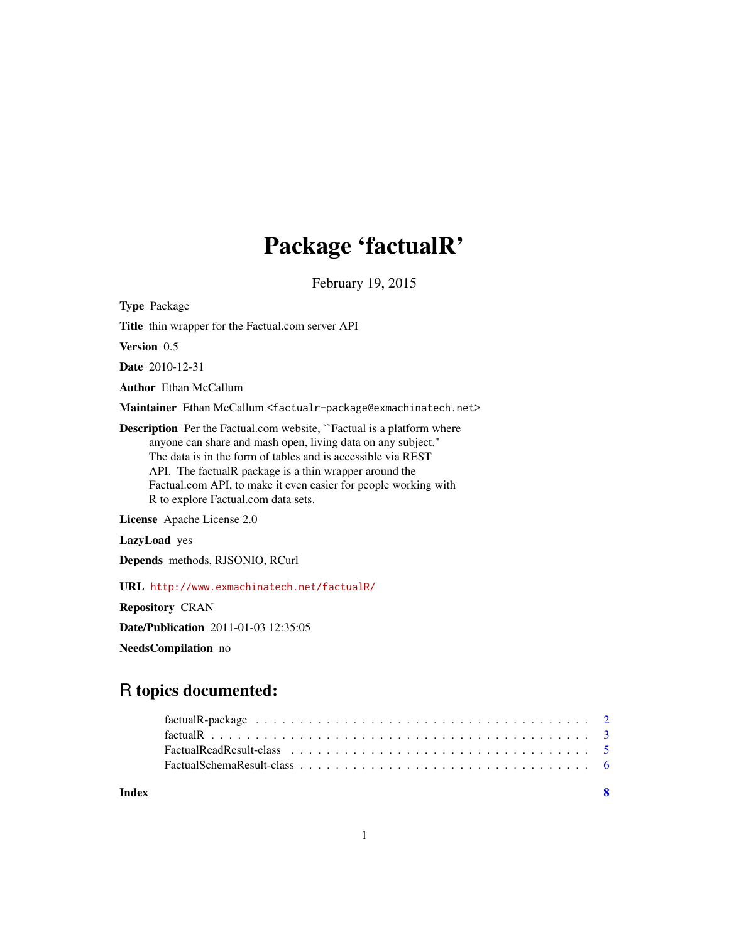## Package 'factualR'

February 19, 2015

Type Package

Title thin wrapper for the Factual.com server API

Version 0.5

Date 2010-12-31

Author Ethan McCallum

Maintainer Ethan McCallum <factualr-package@exmachinatech.net>

Description Per the Factual.com website, "Factual is a platform where anyone can share and mash open, living data on any subject.'' The data is in the form of tables and is accessible via REST API. The factualR package is a thin wrapper around the Factual.com API, to make it even easier for people working with R to explore Factual.com data sets.

License Apache License 2.0

LazyLoad yes

Depends methods, RJSONIO, RCurl

URL <http://www.exmachinatech.net/factualR/>

Repository CRAN

Date/Publication 2011-01-03 12:35:05

NeedsCompilation no

### R topics documented:

**Index** [8](#page-7-0) **8**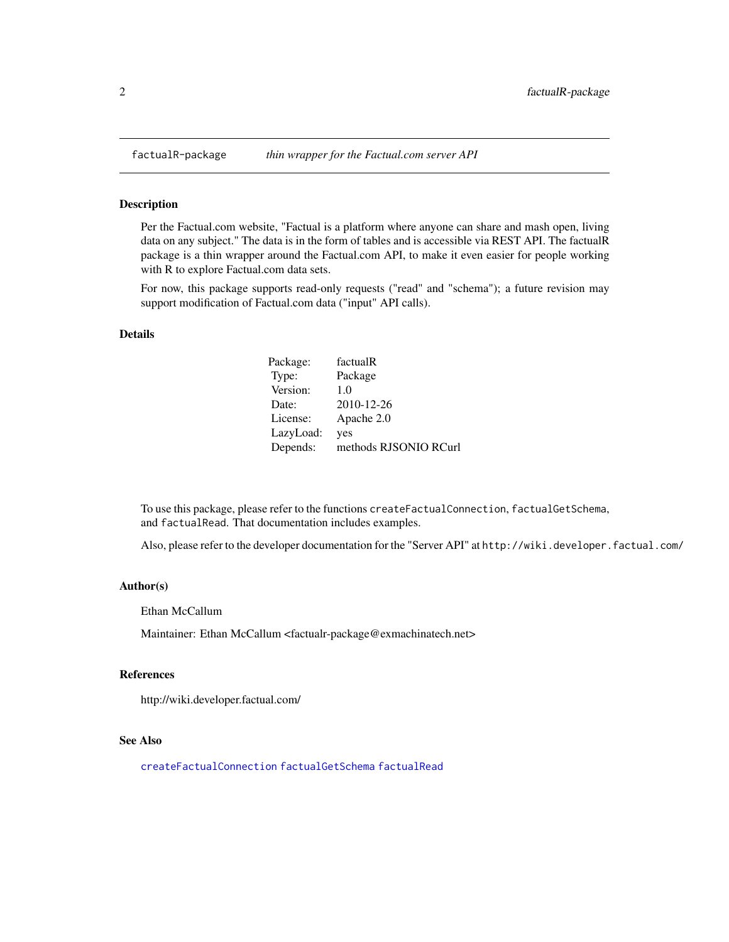<span id="page-1-0"></span>

#### Description

Per the Factual.com website, "Factual is a platform where anyone can share and mash open, living data on any subject." The data is in the form of tables and is accessible via REST API. The factualR package is a thin wrapper around the Factual.com API, to make it even easier for people working with R to explore Factual.com data sets.

For now, this package supports read-only requests ("read" and "schema"); a future revision may support modification of Factual.com data ("input" API calls).

#### Details

| Package:  | factualR              |
|-----------|-----------------------|
| Type:     | Package               |
| Version:  | 1.0                   |
| Date:     | 2010-12-26            |
| License:  | Apache 2.0            |
| LazyLoad: | yes                   |
| Depends:  | methods RJSONIO RCurl |

To use this package, please refer to the functions createFactualConnection, factualGetSchema, and factualRead. That documentation includes examples.

Also, please refer to the developer documentation for the "Server API" at http://wiki.developer.factual.com/

#### Author(s)

Ethan McCallum

Maintainer: Ethan McCallum <factualr-package@exmachinatech.net>

#### References

http://wiki.developer.factual.com/

#### See Also

[createFactualConnection](#page-2-1) [factualGetSchema](#page-2-1) [factualRead](#page-2-1)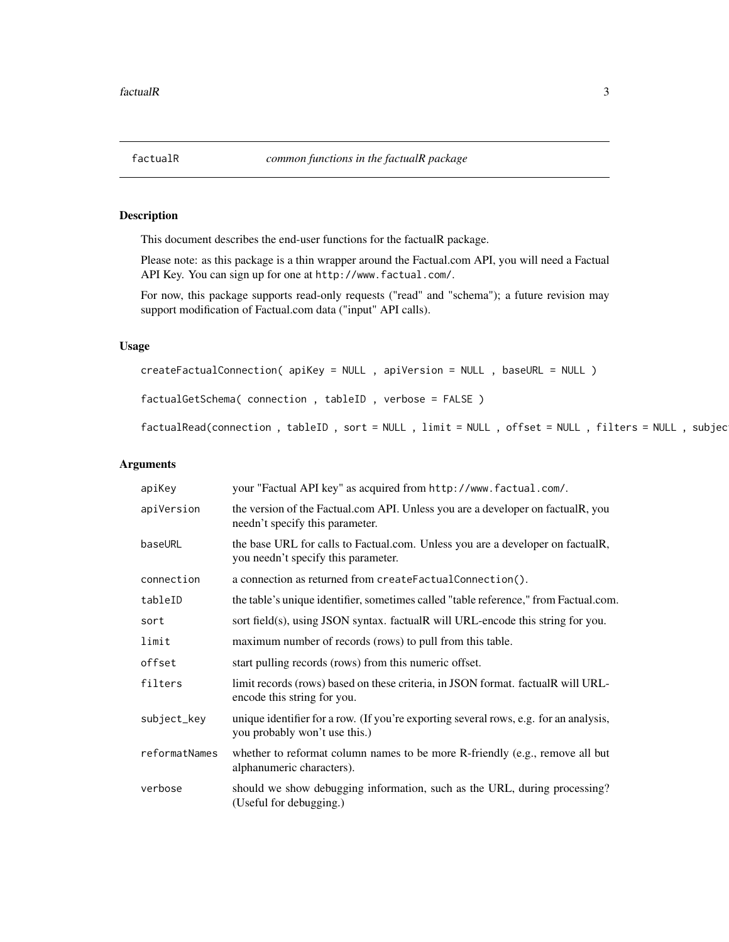#### <span id="page-2-1"></span><span id="page-2-0"></span>Description

This document describes the end-user functions for the factualR package.

Please note: as this package is a thin wrapper around the Factual.com API, you will need a Factual API Key. You can sign up for one at http://www.factual.com/.

For now, this package supports read-only requests ("read" and "schema"); a future revision may support modification of Factual.com data ("input" API calls).

#### Usage

```
createFactualConnection( apiKey = NULL , apiVersion = NULL , baseURL = NULL )
factualGetSchema( connection , tableID , verbose = FALSE )
```

```
factualRead(connection , tableID , sort = NULL , limit = NULL , offset = NULL , filters = NULL , subjec
```
#### Arguments

| apiKey        | your "Factual API key" as acquired from http://www.factual.com/.                                                       |
|---------------|------------------------------------------------------------------------------------------------------------------------|
| apiVersion    | the version of the Factual.com API. Unless you are a developer on factualR, you<br>needn't specify this parameter.     |
| baseURL       | the base URL for calls to Factual.com. Unless you are a developer on factualR,<br>you needn't specify this parameter.  |
| connection    | a connection as returned from createFactualConnection().                                                               |
| tableID       | the table's unique identifier, sometimes called "table reference," from Factual.com.                                   |
| sort          | sort field(s), using JSON syntax. factualR will URL-encode this string for you.                                        |
| limit         | maximum number of records (rows) to pull from this table.                                                              |
| offset        | start pulling records (rows) from this numeric offset.                                                                 |
| filters       | limit records (rows) based on these criteria, in JSON format. factualR will URL-<br>encode this string for you.        |
| subject_key   | unique identifier for a row. (If you're exporting several rows, e.g. for an analysis,<br>you probably won't use this.) |
| reformatNames | whether to reformat column names to be more R-friendly (e.g., remove all but<br>alphanumeric characters).              |
| verbose       | should we show debugging information, such as the URL, during processing?<br>(Useful for debugging.)                   |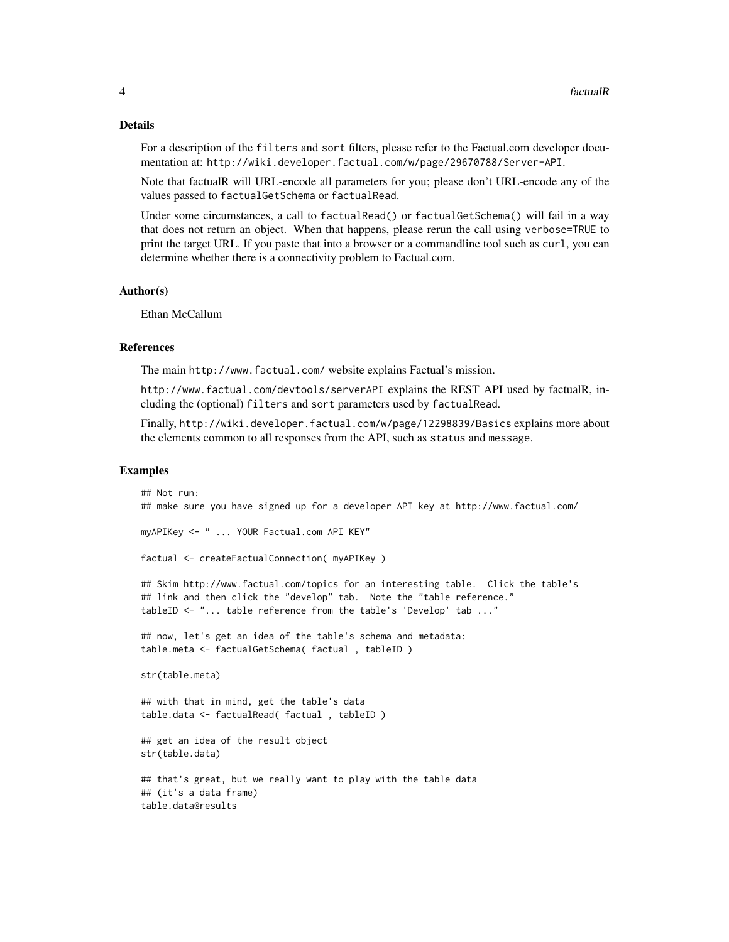#### Details

For a description of the filters and sort filters, please refer to the Factual.com developer documentation at: http://wiki.developer.factual.com/w/page/29670788/Server-API.

Note that factualR will URL-encode all parameters for you; please don't URL-encode any of the values passed to factualGetSchema or factualRead.

Under some circumstances, a call to factualRead() or factualGetSchema() will fail in a way that does not return an object. When that happens, please rerun the call using verbose=TRUE to print the target URL. If you paste that into a browser or a commandline tool such as curl, you can determine whether there is a connectivity problem to Factual.com.

#### Author(s)

Ethan McCallum

#### References

The main http://www.factual.com/ website explains Factual's mission.

http://www.factual.com/devtools/serverAPI explains the REST API used by factualR, including the (optional) filters and sort parameters used by factualRead.

Finally, http://wiki.developer.factual.com/w/page/12298839/Basics explains more about the elements common to all responses from the API, such as status and message.

#### Examples

```
## Not run:
## make sure you have signed up for a developer API key at http://www.factual.com/
myAPIKey <- " ... YOUR Factual.com API KEY"
factual <- createFactualConnection( myAPIKey )
## Skim http://www.factual.com/topics for an interesting table. Click the table's
## link and then click the "develop" tab. Note the "table reference."
tableID <- "... table reference from the table's 'Develop' tab ..."
## now, let's get an idea of the table's schema and metadata:
table.meta <- factualGetSchema( factual , tableID )
str(table.meta)
## with that in mind, get the table's data
table.data <- factualRead( factual , tableID )
## get an idea of the result object
str(table.data)
## that's great, but we really want to play with the table data
## (it's a data frame)
table.data@results
```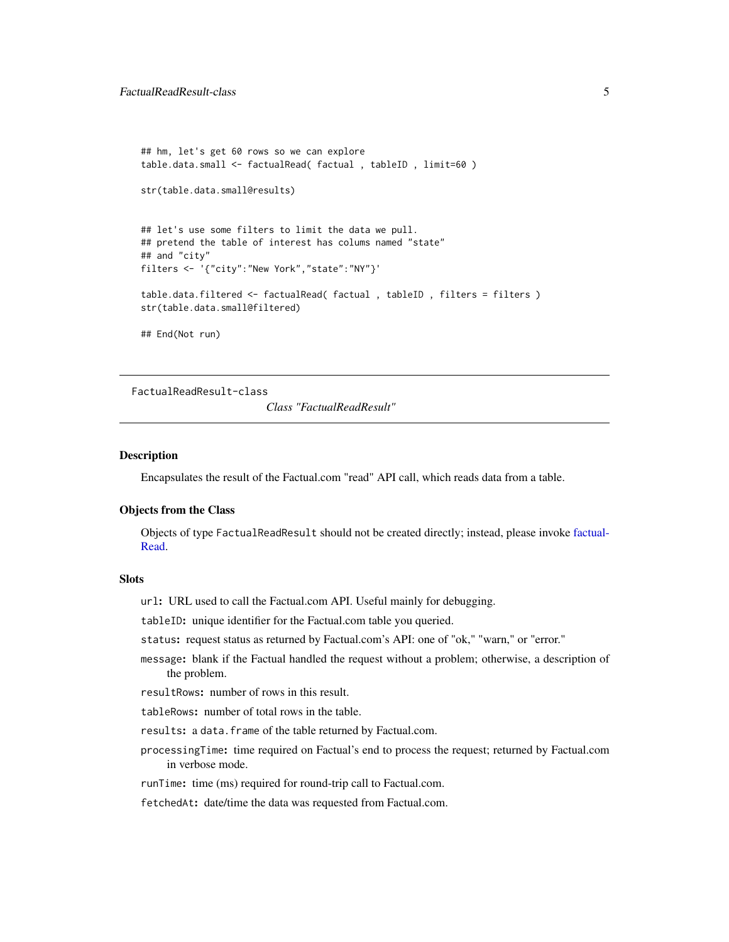```
## hm, let's get 60 rows so we can explore
table.data.small <- factualRead( factual , tableID , limit=60 )
str(table.data.small@results)
## let's use some filters to limit the data we pull.
## pretend the table of interest has colums named "state"
## and "city"
filters <- '{"city":"New York","state":"NY"}'
table.data.filtered <- factualRead( factual , tableID , filters = filters )
str(table.data.small@filtered)
## End(Not run)
```
FactualReadResult-class

*Class "FactualReadResult"*

#### Description

Encapsulates the result of the Factual.com "read" API call, which reads data from a table.

#### Objects from the Class

Objects of type FactualReadResult should not be created directly; instead, please invoke [factual-](#page-2-1)[Read.](#page-2-1)

#### **Slots**

url: URL used to call the Factual.com API. Useful mainly for debugging.

tableID: unique identifier for the Factual.com table you queried.

status: request status as returned by Factual.com's API: one of "ok," "warn," or "error."

message: blank if the Factual handled the request without a problem; otherwise, a description of the problem.

resultRows: number of rows in this result.

tableRows: number of total rows in the table.

results: a data.frame of the table returned by Factual.com.

processingTime: time required on Factual's end to process the request; returned by Factual.com in verbose mode.

runTime: time (ms) required for round-trip call to Factual.com.

fetchedAt: date/time the data was requested from Factual.com.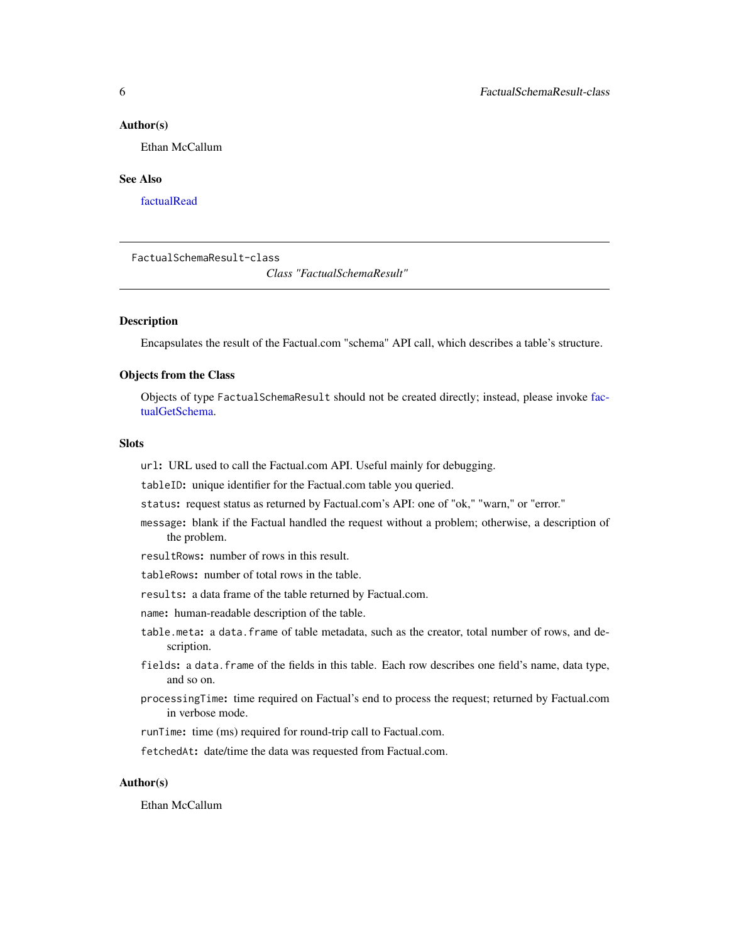#### <span id="page-5-0"></span>Author(s)

Ethan McCallum

#### See Also

[factualRead](#page-2-1)

FactualSchemaResult-class

*Class "FactualSchemaResult"*

#### **Description**

Encapsulates the result of the Factual.com "schema" API call, which describes a table's structure.

#### Objects from the Class

Objects of type FactualSchemaResult should not be created directly; instead, please invoke [fac](#page-2-1)[tualGetSchema.](#page-2-1)

#### **Slots**

url: URL used to call the Factual.com API. Useful mainly for debugging.

tableID: unique identifier for the Factual.com table you queried.

- status: request status as returned by Factual.com's API: one of "ok," "warn," or "error."
- message: blank if the Factual handled the request without a problem; otherwise, a description of the problem.
- resultRows: number of rows in this result.
- tableRows: number of total rows in the table.
- results: a data frame of the table returned by Factual.com.
- name: human-readable description of the table.
- table.meta: a data.frame of table metadata, such as the creator, total number of rows, and description.
- fields: a data.frame of the fields in this table. Each row describes one field's name, data type, and so on.
- processingTime: time required on Factual's end to process the request; returned by Factual.com in verbose mode.
- runTime: time (ms) required for round-trip call to Factual.com.

fetchedAt: date/time the data was requested from Factual.com.

#### Author(s)

Ethan McCallum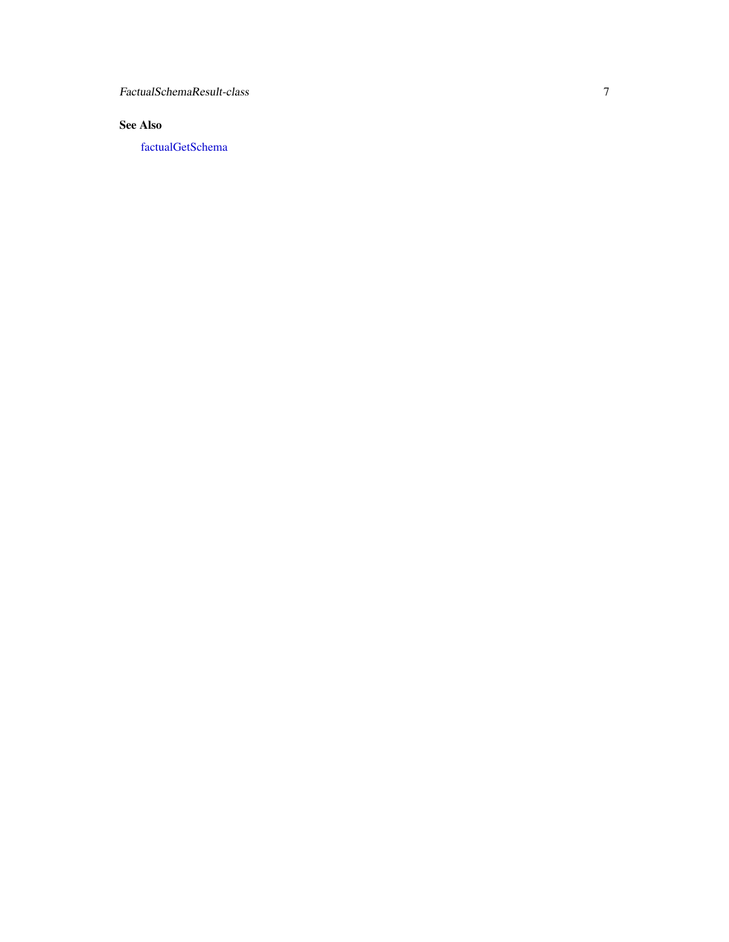<span id="page-6-0"></span>FactualSchemaResult-class

#### See Also

[factualGetSchema](#page-2-1)